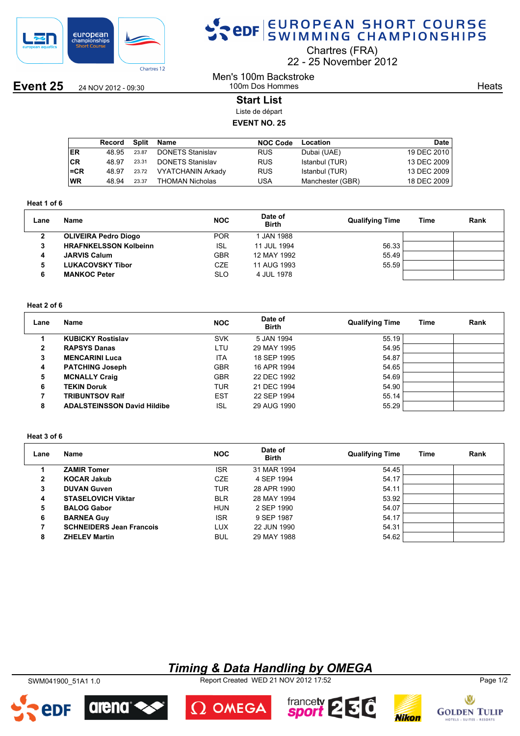

## SPOR EUROPEAN SHORT COURSE

Chartres (FRA)

22 25 November 2012

**Event 25** 24 NOV 2012 - 09:30

Men's 100m Backstroke 100m Dos Hommes

**Heats** 

## **Start List**

Liste de départ

## **EVENT NO. 25**

|           | Record | <b>Split</b> | Name                     | <b>NOC Code</b> | Location         | Date        |
|-----------|--------|--------------|--------------------------|-----------------|------------------|-------------|
| <b>ER</b> | 48.95  | 23.87        | <b>DONETS Stanislav</b>  | <b>RUS</b>      | Dubai (UAE)      | 19 DEC 2010 |
| ∣CR       | 48.97  | 23.31        | <b>DONETS Stanislav</b>  | <b>RUS</b>      | Istanbul (TUR)   | 13 DEC 2009 |
| l=CR      | 48.97  | 23.72        | <b>VYATCHANIN Arkady</b> | <b>RUS</b>      | Istanbul (TUR)   | 13 DEC 2009 |
| ∣WR       | 48.94  | 23.37        | THOMAN Nicholas          | USA             | Manchester (GBR) | 18 DEC 2009 |

#### **Heat 1 of 6**

| Lane | <b>Name</b>                  | <b>NOC</b> | Date of<br><b>Birth</b> | <b>Qualifying Time</b> | Time | Rank |
|------|------------------------------|------------|-------------------------|------------------------|------|------|
| 2    | <b>OLIVEIRA Pedro Diogo</b>  | <b>POR</b> | JAN 1988                |                        |      |      |
| 3    | <b>HRAFNKELSSON Kolbeinn</b> | <b>ISL</b> | 11 JUL 1994             | 56.33                  |      |      |
| 4    | <b>JARVIS Calum</b>          | <b>GBR</b> | 12 MAY 1992             | 55.49                  |      |      |
| 5    | <b>LUKACOVSKY Tibor</b>      | CZE        | 11 AUG 1993             | 55.59                  |      |      |
| 6    | <b>MANKOC Peter</b>          | SLO        | 4 JUL 1978              |                        |      |      |

### **Heat 2 of 6**

| Lane | Name                               | <b>NOC</b> | Date of<br><b>Birth</b> | <b>Qualifying Time</b> | Time | Rank |
|------|------------------------------------|------------|-------------------------|------------------------|------|------|
|      | <b>KUBICKY Rostislav</b>           | <b>SVK</b> | 5 JAN 1994              | 55.19                  |      |      |
| 2    | <b>RAPSYS Danas</b>                | LTU        | 29 MAY 1995             | 54.95                  |      |      |
| 3    | <b>MENCARINI Luca</b>              | <b>ITA</b> | 18 SEP 1995             | 54.87                  |      |      |
| 4    | <b>PATCHING Joseph</b>             | <b>GBR</b> | 16 APR 1994             | 54.65                  |      |      |
| 5    | <b>MCNALLY Craig</b>               | <b>GBR</b> | 22 DEC 1992             | 54.69                  |      |      |
| 6    | <b>TEKIN Doruk</b>                 | <b>TUR</b> | 21 DEC 1994             | 54.90                  |      |      |
|      | <b>TRIBUNTSOV Ralf</b>             | <b>EST</b> | 22 SEP 1994             | 55.14                  |      |      |
| 8    | <b>ADALSTEINSSON David Hildibe</b> | ISL        | 29 AUG 1990             | 55.29                  |      |      |

#### **Heat 3 of 6**

| Lane         | Name                            | <b>NOC</b> | Date of<br><b>Birth</b> | <b>Qualifying Time</b> | Time | Rank |
|--------------|---------------------------------|------------|-------------------------|------------------------|------|------|
|              | <b>ZAMIR Tomer</b>              | <b>ISR</b> | 31 MAR 1994             | 54.45                  |      |      |
| $\mathbf{2}$ | <b>KOCAR Jakub</b>              | <b>CZE</b> | 4 SEP 1994              | 54.17                  |      |      |
| 3            | <b>DUVAN Guven</b>              | <b>TUR</b> | 28 APR 1990             | 54.11                  |      |      |
| 4            | <b>STASELOVICH Viktar</b>       | <b>BLR</b> | 28 MAY 1994             | 53.92                  |      |      |
| 5            | <b>BALOG Gabor</b>              | <b>HUN</b> | 2 SEP 1990              | 54.07                  |      |      |
| 6            | <b>BARNEA Guy</b>               | <b>ISR</b> | 9 SEP 1987              | 54.17                  |      |      |
| 7            | <b>SCHNEIDERS Jean Francois</b> | LUX        | 22 JUN 1990             | 54.31                  |      |      |
| 8            | <b>ZHELEV Martin</b>            | <b>BUL</b> | 29 MAY 1988             | 54.62                  |      |      |

## *Timing & Data Handling by OMEGA*

SWM041900\_51A1 1.0 Report Created WED 21 NOV 2012 17:52 Page 1/2